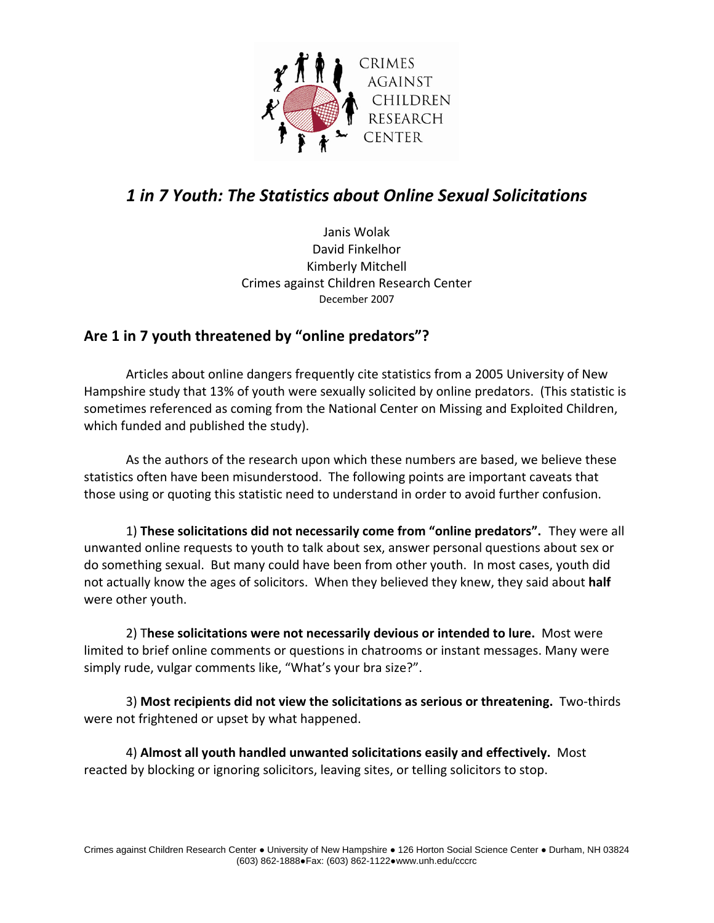

## *1 in 7 Youth: The Statistics about Online Sexual Solicitations*

Janis Wolak David Finkelhor Kimberly Mitchell Crimes against Children Research Center December 2007

## **Are 1 in 7 youth threatened by "online predators"?**

Articles about online dangers frequently cite statistics from a 2005 University of New Hampshire study that 13% of youth were sexually solicited by online predators. (This statistic is sometimes referenced as coming from the National Center on Missing and Exploited Children, which funded and published the study).

As the authors of the research upon which these numbers are based, we believe these statistics often have been misunderstood. The following points are important caveats that those using or quoting this statistic need to understand in order to avoid further confusion.

1) **These solicitations did not necessarily come from "online predators".** They were all unwanted online requests to youth to talk about sex, answer personal questions about sex or do something sexual. But many could have been from other youth. In most cases, youth did not actually know the ages of solicitors. When they believed they knew, they said about **half** were other youth.

2) T**hese solicitations were not necessarily devious or intended to lure.** Most were limited to brief online comments or questions in chatrooms or instant messages. Many were simply rude, vulgar comments like, "What's your bra size?".

3) **Most recipients did not view the solicitations as serious or threatening.** Two‐thirds were not frightened or upset by what happened.

4) **Almost all youth handled unwanted solicitations easily and effectively.** Most reacted by blocking or ignoring solicitors, leaving sites, or telling solicitors to stop.